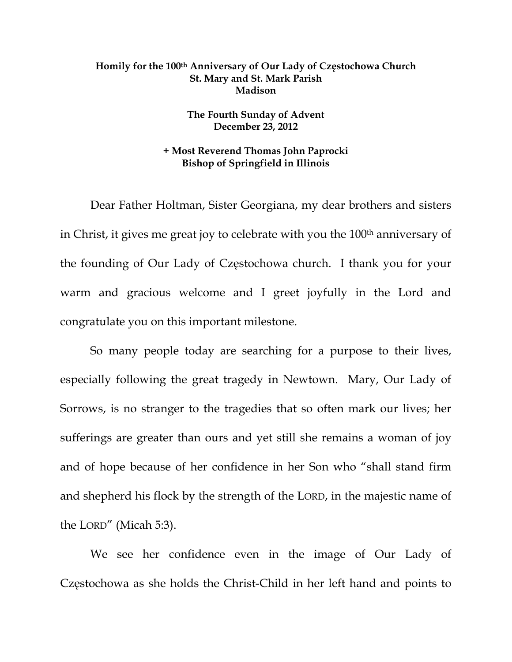## **Homily for the 100th Anniversary of Our Lady of Częstochowa Church St. Mary and St. Mark Parish Madison**

## **The Fourth Sunday of Advent December 23, 2012**

## **+ Most Reverend Thomas John Paprocki Bishop of Springfield in Illinois**

Dear Father Holtman, Sister Georgiana, my dear brothers and sisters in Christ, it gives me great joy to celebrate with you the 100<sup>th</sup> anniversary of the founding of Our Lady of Częstochowa church. I thank you for your warm and gracious welcome and I greet joyfully in the Lord and congratulate you on this important milestone.

So many people today are searching for a purpose to their lives, especially following the great tragedy in Newtown. Mary, Our Lady of Sorrows, is no stranger to the tragedies that so often mark our lives; her sufferings are greater than ours and yet still she remains a woman of joy and of hope because of her confidence in her Son who "shall stand firm and shepherd his flock by the strength of the LORD, in the majestic name of the LORD" (Micah 5:3).

We see her confidence even in the image of Our Lady of Częstochowa as she holds the Christ-Child in her left hand and points to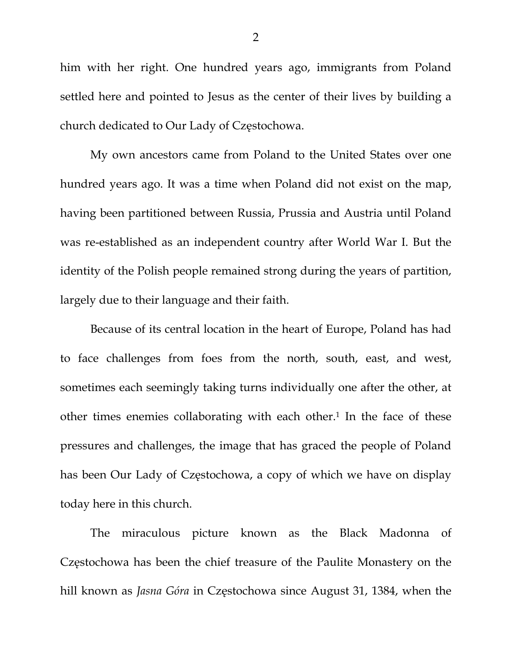him with her right. One hundred years ago, immigrants from Poland settled here and pointed to Jesus as the center of their lives by building a church dedicated to Our Lady of Częstochowa.

My own ancestors came from Poland to the United States over one hundred years ago. It was a time when Poland did not exist on the map, having been partitioned between Russia, Prussia and Austria until Poland was re-established as an independent country after World War I. But the identity of the Polish people remained strong during the years of partition, largely due to their language and their faith.

Because of its central location in the heart of Europe, Poland has had to face challenges from foes from the north, south, east, and west, sometimes each seemingly taking turns individually one after the other, at other times enemies collaborating with each other.<sup>1</sup> In the face of these pressures and challenges, the image that has graced the people of Poland has been Our Lady of Częstochowa, a copy of which we have on display today here in this church.

The miraculous picture known as the Black Madonna of Częstochowa has been the chief treasure of the Paulite Monastery on the hill known as *Jasna Góra* in Częstochowa since August 31, 1384, when the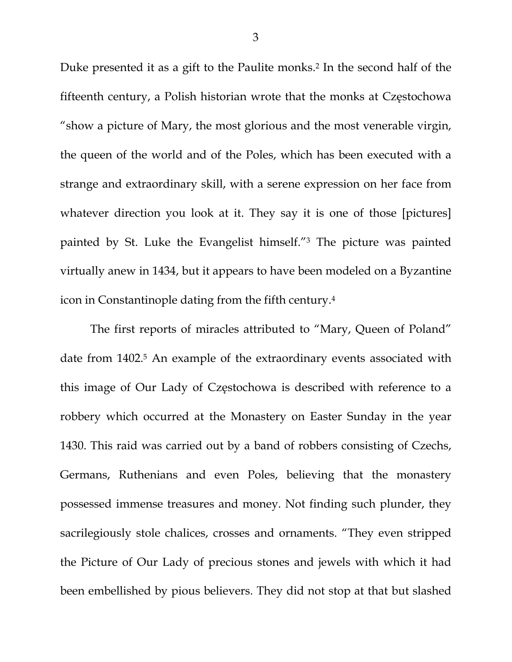Duke presented it as a gift to the Paulite monks.<sup>2</sup> In the second half of the fifteenth century, a Polish historian wrote that the monks at Częstochowa "show a picture of Mary, the most glorious and the most venerable virgin, the queen of the world and of the Poles, which has been executed with a strange and extraordinary skill, with a serene expression on her face from whatever direction you look at it. They say it is one of those [pictures] painted by St. Luke the Evangelist himself."3 The picture was painted virtually anew in 1434, but it appears to have been modeled on a Byzantine icon in Constantinople dating from the fifth century.4

The first reports of miracles attributed to "Mary, Queen of Poland" date from 1402.<sup>5</sup> An example of the extraordinary events associated with this image of Our Lady of Częstochowa is described with reference to a robbery which occurred at the Monastery on Easter Sunday in the year 1430. This raid was carried out by a band of robbers consisting of Czechs, Germans, Ruthenians and even Poles, believing that the monastery possessed immense treasures and money. Not finding such plunder, they sacrilegiously stole chalices, crosses and ornaments. "They even stripped the Picture of Our Lady of precious stones and jewels with which it had been embellished by pious believers. They did not stop at that but slashed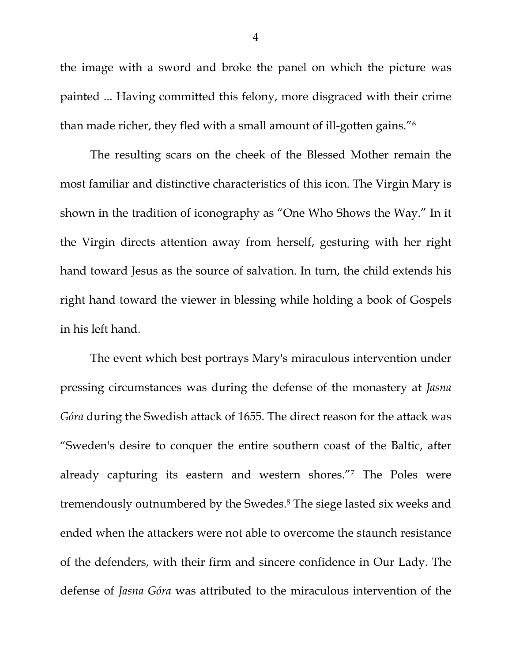the image with a sword and broke the panel on which the picture was painted ... Having committed this felony, more disgraced with their crime than made richer, they fled with a small amount of ill-gotten gains."6

The resulting scars on the cheek of the Blessed Mother remain the most familiar and distinctive characteristics of this icon. The Virgin Mary is shown in the tradition of iconography as "One Who Shows the Way." In it the Virgin directs attention away from herself, gesturing with her right hand toward Jesus as the source of salvation. In turn, the child extends his right hand toward the viewer in blessing while holding a book of Gospels in his left hand.

The event which best portrays Mary's miraculous intervention under pressing circumstances was during the defense of the monastery at *Jasna Góra* during the Swedish attack of 1655. The direct reason for the attack was "Sweden's desire to conquer the entire southern coast of the Baltic, after already capturing its eastern and western shores."7 The Poles were tremendously outnumbered by the Swedes.8 The siege lasted six weeks and ended when the attackers were not able to overcome the staunch resistance of the defenders, with their firm and sincere confidence in Our Lady. The defense of *Jasna Góra* was attributed to the miraculous intervention of the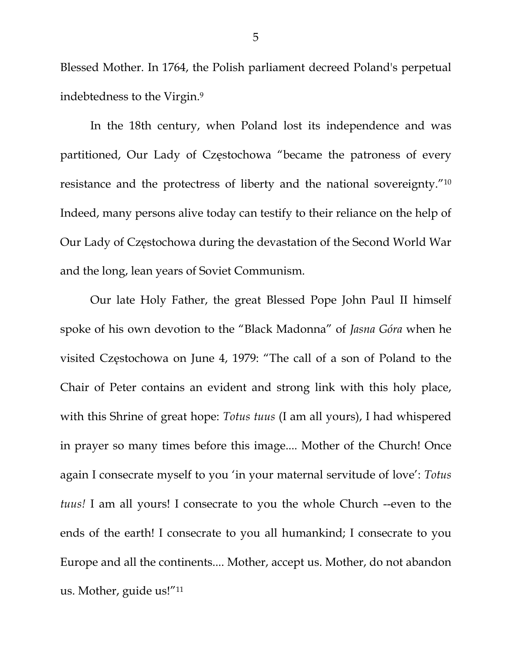Blessed Mother. In 1764, the Polish parliament decreed Poland's perpetual indebtedness to the Virgin.9

In the 18th century, when Poland lost its independence and was partitioned, Our Lady of Częstochowa "became the patroness of every resistance and the protectress of liberty and the national sovereignty."10 Indeed, many persons alive today can testify to their reliance on the help of Our Lady of Częstochowa during the devastation of the Second World War and the long, lean years of Soviet Communism.

Our late Holy Father, the great Blessed Pope John Paul II himself spoke of his own devotion to the "Black Madonna" of *Jasna Góra* when he visited Częstochowa on June 4, 1979: "The call of a son of Poland to the Chair of Peter contains an evident and strong link with this holy place, with this Shrine of great hope: *Totus tuus* (I am all yours), I had whispered in prayer so many times before this image.... Mother of the Church! Once again I consecrate myself to you 'in your maternal servitude of love': *Totus tuus!* I am all yours! I consecrate to you the whole Church --even to the ends of the earth! I consecrate to you all humankind; I consecrate to you Europe and all the continents.... Mother, accept us. Mother, do not abandon us. Mother, guide us!"11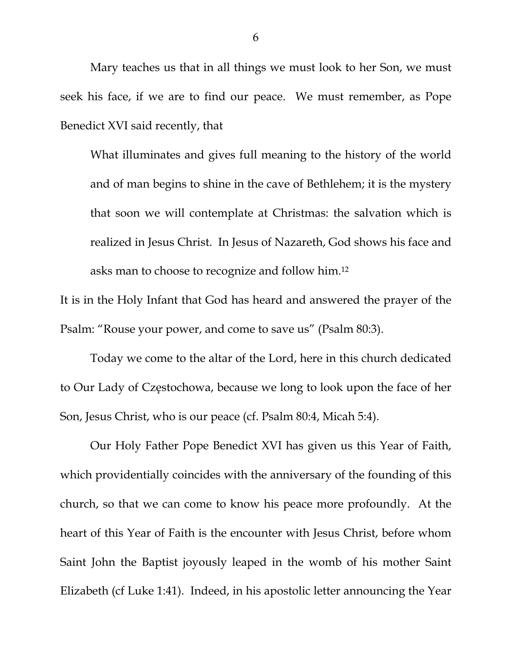Mary teaches us that in all things we must look to her Son, we must seek his face, if we are to find our peace. We must remember, as Pope Benedict XVI said recently, that

What illuminates and gives full meaning to the history of the world and of man begins to shine in the cave of Bethlehem; it is the mystery that soon we will contemplate at Christmas: the salvation which is realized in Jesus Christ. In Jesus of Nazareth, God shows his face and asks man to choose to recognize and follow him.12

It is in the Holy Infant that God has heard and answered the prayer of the Psalm: "Rouse your power, and come to save us" (Psalm 80:3).

Today we come to the altar of the Lord, here in this church dedicated to Our Lady of Częstochowa, because we long to look upon the face of her Son, Jesus Christ, who is our peace (cf. Psalm 80:4, Micah 5:4).

Our Holy Father Pope Benedict XVI has given us this Year of Faith, which providentially coincides with the anniversary of the founding of this church, so that we can come to know his peace more profoundly. At the heart of this Year of Faith is the encounter with Jesus Christ, before whom Saint John the Baptist joyously leaped in the womb of his mother Saint Elizabeth (cf Luke 1:41). Indeed, in his apostolic letter announcing the Year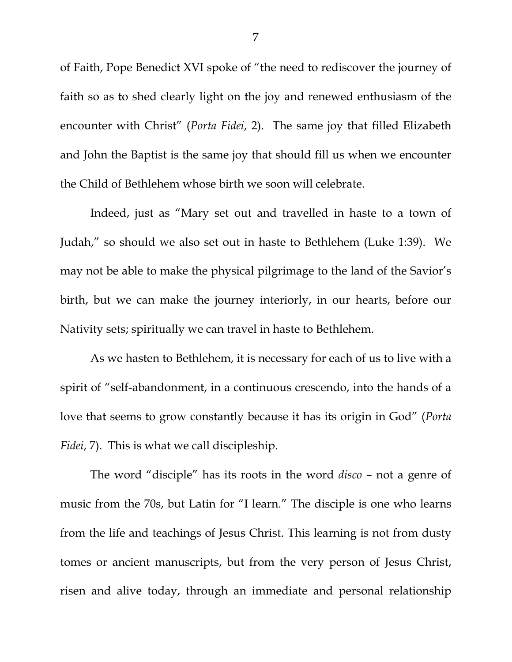of Faith, Pope Benedict XVI spoke of "the need to rediscover the journey of faith so as to shed clearly light on the joy and renewed enthusiasm of the encounter with Christ" (*Porta Fidei*, 2). The same joy that filled Elizabeth and John the Baptist is the same joy that should fill us when we encounter the Child of Bethlehem whose birth we soon will celebrate.

Indeed, just as "Mary set out and travelled in haste to a town of Judah," so should we also set out in haste to Bethlehem (Luke 1:39). We may not be able to make the physical pilgrimage to the land of the Savior's birth, but we can make the journey interiorly, in our hearts, before our Nativity sets; spiritually we can travel in haste to Bethlehem.

As we hasten to Bethlehem, it is necessary for each of us to live with a spirit of "self-abandonment, in a continuous crescendo, into the hands of a love that seems to grow constantly because it has its origin in God" (*Porta Fidei*, 7). This is what we call discipleship.

The word "disciple" has its roots in the word *disco* – not a genre of music from the 70s, but Latin for "I learn." The disciple is one who learns from the life and teachings of Jesus Christ. This learning is not from dusty tomes or ancient manuscripts, but from the very person of Jesus Christ, risen and alive today, through an immediate and personal relationship

7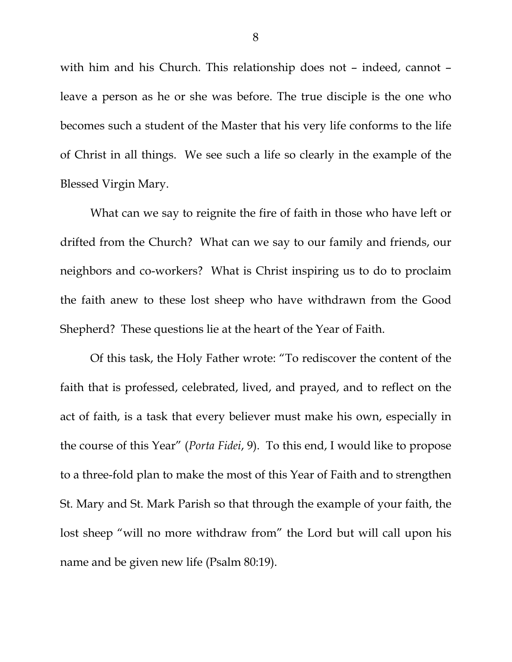with him and his Church. This relationship does not – indeed, cannot – leave a person as he or she was before. The true disciple is the one who becomes such a student of the Master that his very life conforms to the life of Christ in all things. We see such a life so clearly in the example of the Blessed Virgin Mary.

What can we say to reignite the fire of faith in those who have left or drifted from the Church? What can we say to our family and friends, our neighbors and co-workers? What is Christ inspiring us to do to proclaim the faith anew to these lost sheep who have withdrawn from the Good Shepherd? These questions lie at the heart of the Year of Faith.

Of this task, the Holy Father wrote: "To rediscover the content of the faith that is professed, celebrated, lived, and prayed, and to reflect on the act of faith, is a task that every believer must make his own, especially in the course of this Year" (*Porta Fidei*, 9). To this end, I would like to propose to a three-fold plan to make the most of this Year of Faith and to strengthen St. Mary and St. Mark Parish so that through the example of your faith, the lost sheep "will no more withdraw from" the Lord but will call upon his name and be given new life (Psalm 80:19).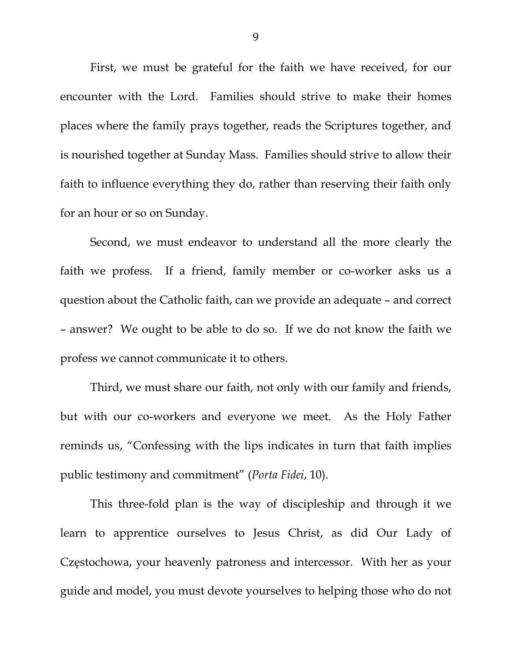First, we must be grateful for the faith we have received, for our encounter with the Lord. Families should strive to make their homes places where the family prays together, reads the Scriptures together, and is nourished together at Sunday Mass. Families should strive to allow their faith to influence everything they do, rather than reserving their faith only for an hour or so on Sunday.

 Second, we must endeavor to understand all the more clearly the faith we profess. If a friend, family member or co-worker asks us a question about the Catholic faith, can we provide an adequate – and correct – answer? We ought to be able to do so. If we do not know the faith we profess we cannot communicate it to others.

 Third, we must share our faith, not only with our family and friends, but with our co-workers and everyone we meet. As the Holy Father reminds us, "Confessing with the lips indicates in turn that faith implies public testimony and commitment" (*Porta Fidei*, 10).

 This three-fold plan is the way of discipleship and through it we learn to apprentice ourselves to Jesus Christ, as did Our Lady of Częstochowa, your heavenly patroness and intercessor. With her as your guide and model, you must devote yourselves to helping those who do not